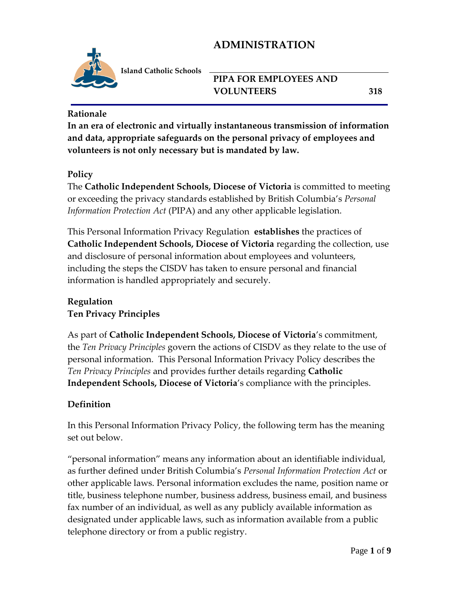

**Island Catholic Schools** 

## **PIPA FOR EMPLOYEES AND VOLUNTEERS 318**

#### **Rationale**

**In an era of electronic and virtually instantaneous transmission of information and data, appropriate safeguards on the personal privacy of employees and volunteers is not only necessary but is mandated by law.**

### **Policy**

The **Catholic Independent Schools, Diocese of Victoria** is committed to meeting or exceeding the privacy standards established by British Columbia's *Personal Information Protection Act* (PIPA) and any other applicable legislation.

This Personal Information Privacy Regulation **establishes** the practices of **Catholic Independent Schools, Diocese of Victoria** regarding the collection, use and disclosure of personal information about employees and volunteers, including the steps the CISDV has taken to ensure personal and financial information is handled appropriately and securely.

# **Regulation**

### **Ten Privacy Principles**

As part of **Catholic Independent Schools, Diocese of Victoria**'s commitment, the *Ten Privacy Principles* govern the actions of CISDV as they relate to the use of personal information. This Personal Information Privacy Policy describes the *Ten Privacy Principles* and provides further details regarding **Catholic Independent Schools, Diocese of Victoria**'s compliance with the principles.

### **Definition**

In this Personal Information Privacy Policy, the following term has the meaning set out below.

"personal information" means any information about an identifiable individual, as further defined under British Columbia's *Personal Information Protection Act* or other applicable laws. Personal information excludes the name, position name or title, business telephone number, business address, business email, and business fax number of an individual, as well as any publicly available information as designated under applicable laws, such as information available from a public telephone directory or from a public registry.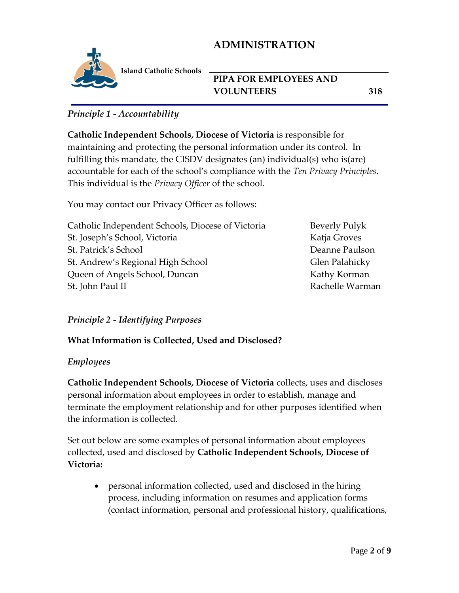

**Island Catholic Schools** 

## **PIPA FOR EMPLOYEES AND VOLUNTEERS 318**

### *Principle 1 - Accountability*

**Catholic Independent Schools, Diocese of Victoria** is responsible for maintaining and protecting the personal information under its control. In fulfilling this mandate, the CISDV designates (an) individual(s) who is(are) accountable for each of the school's compliance with the *Ten Privacy Principles*. This individual is the *Privacy Officer* of the school.

You may contact our Privacy Officer as follows:

| Catholic Independent Schools, Diocese of Victoria | <b>Beverly Pulyk</b> |
|---------------------------------------------------|----------------------|
| St. Joseph's School, Victoria                     | Katja Groves         |
| St. Patrick's School                              | Deanne Paulson       |
| St. Andrew's Regional High School                 | Glen Palahicky       |
| Queen of Angels School, Duncan                    | Kathy Korman         |
| St. John Paul II                                  | Rachelle Warman      |
|                                                   |                      |

#### *Principle 2 - Identifying Purposes*

### **What Information is Collected, Used and Disclosed?**

#### *Employees*

**Catholic Independent Schools, Diocese of Victoria** collects, uses and discloses personal information about employees in order to establish, manage and terminate the employment relationship and for other purposes identified when the information is collected.

Set out below are some examples of personal information about employees collected, used and disclosed by **Catholic Independent Schools, Diocese of Victoria:**

• personal information collected, used and disclosed in the hiring process, including information on resumes and application forms (contact information, personal and professional history, qualifications,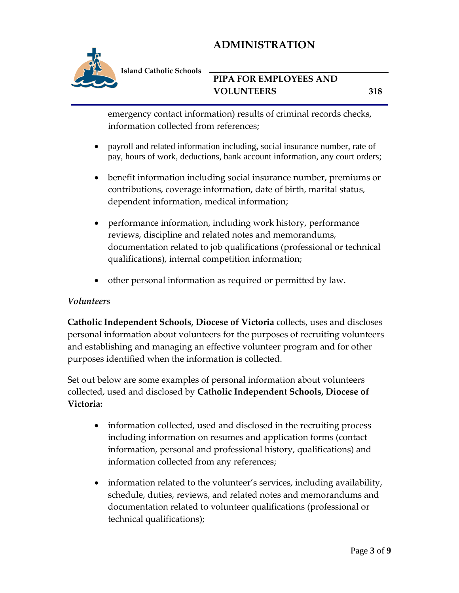

**Island Catholic Schools** 

## **PIPA FOR EMPLOYEES AND VOLUNTEERS 318**

emergency contact information) results of criminal records checks, information collected from references;

- payroll and related information including, social insurance number, rate of pay, hours of work, deductions, bank account information, any court orders;
- benefit information including social insurance number, premiums or contributions, coverage information, date of birth, marital status, dependent information, medical information;
- performance information, including work history, performance reviews, discipline and related notes and memorandums, documentation related to job qualifications (professional or technical qualifications), internal competition information;
- other personal information as required or permitted by law.

### *Volunteers*

**Catholic Independent Schools, Diocese of Victoria** collects, uses and discloses personal information about volunteers for the purposes of recruiting volunteers and establishing and managing an effective volunteer program and for other purposes identified when the information is collected.

Set out below are some examples of personal information about volunteers collected, used and disclosed by **Catholic Independent Schools, Diocese of Victoria:**

- information collected, used and disclosed in the recruiting process including information on resumes and application forms (contact information, personal and professional history, qualifications) and information collected from any references;
- information related to the volunteer's services, including availability, schedule, duties, reviews, and related notes and memorandums and documentation related to volunteer qualifications (professional or technical qualifications);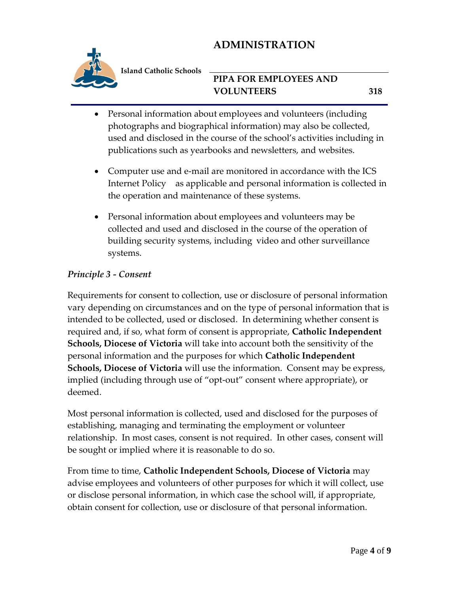

**Island Catholic Schools** 

## **PIPA FOR EMPLOYEES AND VOLUNTEERS 318**

- Personal information about employees and volunteers (including photographs and biographical information) may also be collected, used and disclosed in the course of the school's activities including in publications such as yearbooks and newsletters, and websites.
- Computer use and e-mail are monitored in accordance with the ICS Internet Policy as applicable and personal information is collected in the operation and maintenance of these systems.
- Personal information about employees and volunteers may be collected and used and disclosed in the course of the operation of building security systems, including video and other surveillance systems.

### *Principle 3 - Consent*

Requirements for consent to collection, use or disclosure of personal information vary depending on circumstances and on the type of personal information that is intended to be collected, used or disclosed. In determining whether consent is required and, if so, what form of consent is appropriate, **Catholic Independent Schools, Diocese of Victoria** will take into account both the sensitivity of the personal information and the purposes for which **Catholic Independent Schools, Diocese of Victoria** will use the information. Consent may be express, implied (including through use of "opt-out" consent where appropriate), or deemed.

Most personal information is collected, used and disclosed for the purposes of establishing, managing and terminating the employment or volunteer relationship. In most cases, consent is not required. In other cases, consent will be sought or implied where it is reasonable to do so.

From time to time, **Catholic Independent Schools, Diocese of Victoria** may advise employees and volunteers of other purposes for which it will collect, use or disclose personal information, in which case the school will, if appropriate, obtain consent for collection, use or disclosure of that personal information.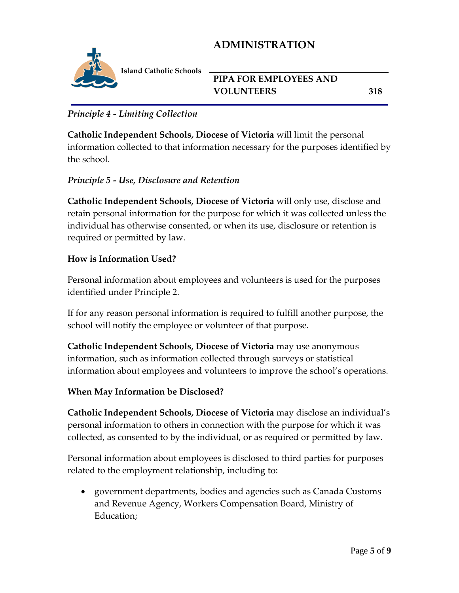

**Island Catholic Schools** 

### **PIPA FOR EMPLOYEES AND VOLUNTEERS 318**

### *Principle 4 - Limiting Collection*

**Catholic Independent Schools, Diocese of Victoria** will limit the personal information collected to that information necessary for the purposes identified by the school.

### *Principle 5 - Use, Disclosure and Retention*

**Catholic Independent Schools, Diocese of Victoria** will only use, disclose and retain personal information for the purpose for which it was collected unless the individual has otherwise consented, or when its use, disclosure or retention is required or permitted by law.

### **How is Information Used?**

Personal information about employees and volunteers is used for the purposes identified under Principle 2.

If for any reason personal information is required to fulfill another purpose, the school will notify the employee or volunteer of that purpose.

**Catholic Independent Schools, Diocese of Victoria** may use anonymous information, such as information collected through surveys or statistical information about employees and volunteers to improve the school's operations.

### **When May Information be Disclosed?**

**Catholic Independent Schools, Diocese of Victoria** may disclose an individual's personal information to others in connection with the purpose for which it was collected, as consented to by the individual, or as required or permitted by law.

Personal information about employees is disclosed to third parties for purposes related to the employment relationship, including to:

 government departments, bodies and agencies such as Canada Customs and Revenue Agency, Workers Compensation Board, Ministry of Education;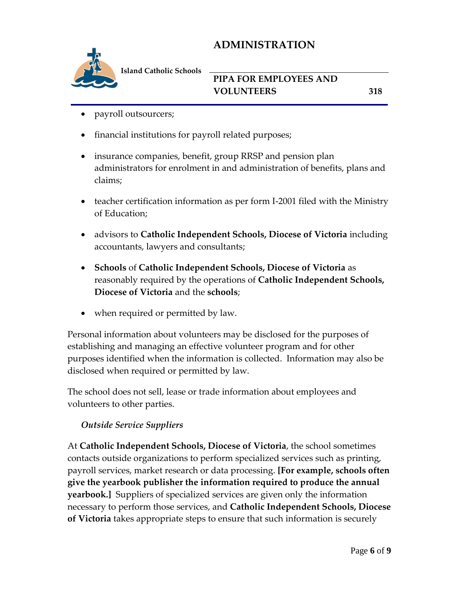

**Island Catholic Schools** 

## **PIPA FOR EMPLOYEES AND VOLUNTEERS 318**

- payroll outsourcers;
- financial institutions for payroll related purposes;
- insurance companies, benefit, group RRSP and pension plan administrators for enrolment in and administration of benefits, plans and claims;
- teacher certification information as per form I-2001 filed with the Ministry of Education;
- advisors to **Catholic Independent Schools, Diocese of Victoria** including accountants, lawyers and consultants;
- **Schools** of **Catholic Independent Schools, Diocese of Victoria** as reasonably required by the operations of **Catholic Independent Schools, Diocese of Victoria** and the **schools**;
- when required or permitted by law.

Personal information about volunteers may be disclosed for the purposes of establishing and managing an effective volunteer program and for other purposes identified when the information is collected. Information may also be disclosed when required or permitted by law.

The school does not sell, lease or trade information about employees and volunteers to other parties.

### *Outside Service Suppliers*

At **Catholic Independent Schools, Diocese of Victoria**, the school sometimes contacts outside organizations to perform specialized services such as printing, payroll services, market research or data processing. **[For example, schools often give the yearbook publisher the information required to produce the annual yearbook.]** Suppliers of specialized services are given only the information necessary to perform those services, and **Catholic Independent Schools, Diocese of Victoria** takes appropriate steps to ensure that such information is securely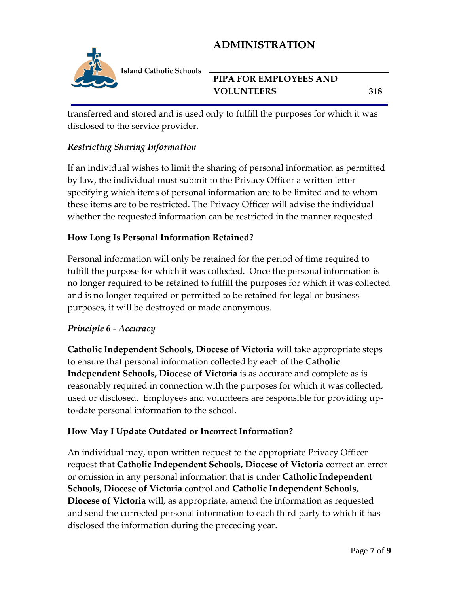

**Island Catholic Schools** 

## **PIPA FOR EMPLOYEES AND VOLUNTEERS 318**

transferred and stored and is used only to fulfill the purposes for which it was disclosed to the service provider.

### *Restricting Sharing Information*

If an individual wishes to limit the sharing of personal information as permitted by law, the individual must submit to the Privacy Officer a written letter specifying which items of personal information are to be limited and to whom these items are to be restricted. The Privacy Officer will advise the individual whether the requested information can be restricted in the manner requested.

### **How Long Is Personal Information Retained?**

Personal information will only be retained for the period of time required to fulfill the purpose for which it was collected. Once the personal information is no longer required to be retained to fulfill the purposes for which it was collected and is no longer required or permitted to be retained for legal or business purposes, it will be destroyed or made anonymous.

### *Principle 6 - Accuracy*

**Catholic Independent Schools, Diocese of Victoria** will take appropriate steps to ensure that personal information collected by each of the **Catholic Independent Schools, Diocese of Victoria** is as accurate and complete as is reasonably required in connection with the purposes for which it was collected, used or disclosed. Employees and volunteers are responsible for providing upto-date personal information to the school.

### **How May I Update Outdated or Incorrect Information?**

An individual may, upon written request to the appropriate Privacy Officer request that **Catholic Independent Schools, Diocese of Victoria** correct an error or omission in any personal information that is under **Catholic Independent Schools, Diocese of Victoria** control and **Catholic Independent Schools, Diocese of Victoria** will, as appropriate, amend the information as requested and send the corrected personal information to each third party to which it has disclosed the information during the preceding year.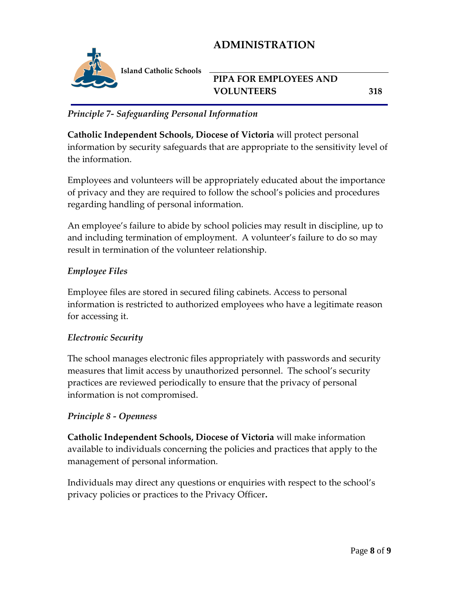

**Island Catholic Schools** 

## **PIPA FOR EMPLOYEES AND VOLUNTEERS 318**

### *Principle 7- Safeguarding Personal Information*

**Catholic Independent Schools, Diocese of Victoria** will protect personal information by security safeguards that are appropriate to the sensitivity level of the information.

Employees and volunteers will be appropriately educated about the importance of privacy and they are required to follow the school's policies and procedures regarding handling of personal information.

An employee's failure to abide by school policies may result in discipline, up to and including termination of employment. A volunteer's failure to do so may result in termination of the volunteer relationship.

### *Employee Files*

Employee files are stored in secured filing cabinets. Access to personal information is restricted to authorized employees who have a legitimate reason for accessing it.

#### *Electronic Security*

The school manages electronic files appropriately with passwords and security measures that limit access by unauthorized personnel. The school's security practices are reviewed periodically to ensure that the privacy of personal information is not compromised.

### *Principle 8 - Openness*

**Catholic Independent Schools, Diocese of Victoria** will make information available to individuals concerning the policies and practices that apply to the management of personal information.

Individuals may direct any questions or enquiries with respect to the school's privacy policies or practices to the Privacy Officer**.**